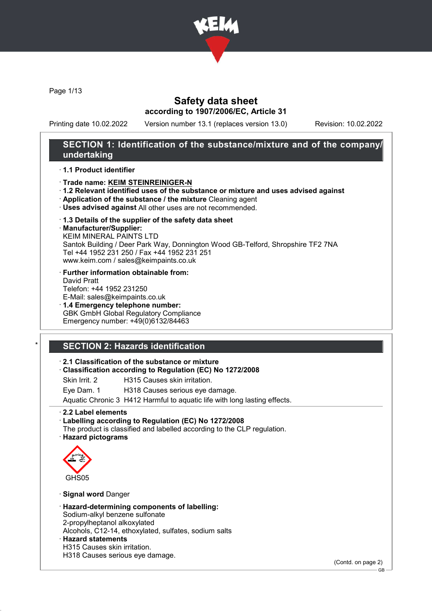

Page 1/13

## Safety data sheet according to 1907/2006/EC, Article 31

Printing date 10.02.2022 Version number 13.1 (replaces version 13.0) Revision: 10.02.2022

## SECTION 1: Identification of the substance/mixture and of the company/ undertaking

#### · 1.1 Product identifier

#### · Trade name: KEIM STEINREINIGER-N

- · 1.2 Relevant identified uses of the substance or mixture and uses advised against
- · Application of the substance / the mixture Cleaning agent
- · Uses advised against All other uses are not recommended.
- · 1.3 Details of the supplier of the safety data sheet
- · Manufacturer/Supplier:

KEIM MINERAL PAINTS LTD Santok Building / Deer Park Way, Donnington Wood GB-Telford, Shropshire TF2 7NA Tel +44 1952 231 250 / Fax +44 1952 231 251 www.keim.com / sales@keimpaints.co.uk

- · Further information obtainable from: David Pratt Telefon: +44 1952 231250
- E-Mail: sales@keimpaints.co.uk · 1.4 Emergency telephone number: GBK GmbH Global Regulatory Compliance Emergency number: +49(0)6132/84463

## SECTION 2: Hazards identification

#### · 2.1 Classification of the substance or mixture

#### · Classification according to Regulation (EC) No 1272/2008

Skin Irrit. 2 H315 Causes skin irritation.

Eye Dam. 1 H318 Causes serious eye damage.

Aquatic Chronic 3 H412 Harmful to aquatic life with long lasting effects.

#### · 2.2 Label elements

· Labelling according to Regulation (EC) No 1272/2008 The product is classified and labelled according to the CLP regulation.

· Hazard pictograms



## · Signal word Danger

· Hazard-determining components of labelling: Sodium-alkyl benzene sulfonate 2-propylheptanol alkoxylated Alcohols, C12-14, ethoxylated, sulfates, sodium salts · Hazard statements H315 Causes skin irritation. H318 Causes serious eye damage.

(Contd. on page 2)

GB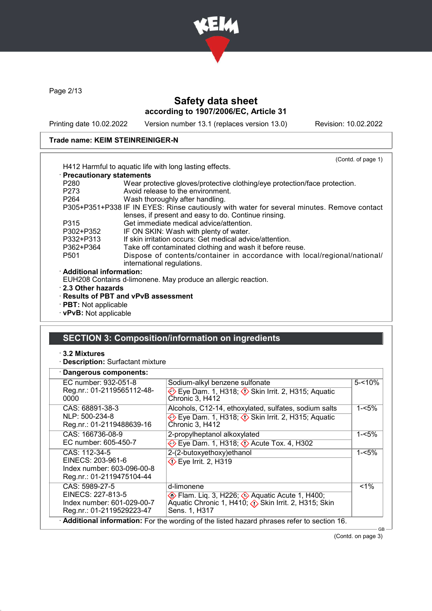

Page 2/13

# Safety data sheet according to 1907/2006/EC, Article 31

Printing date 10.02.2022 Version number 13.1 (replaces version 13.0) Revision: 10.02.2022

## Trade name: KEIM STEINREINIGER-N

|                              | (Contd. of page 1)                                                                                                                                 |
|------------------------------|----------------------------------------------------------------------------------------------------------------------------------------------------|
|                              | H412 Harmful to aquatic life with long lasting effects.                                                                                            |
| · Precautionary statements   |                                                                                                                                                    |
| P <sub>280</sub>             | Wear protective gloves/protective clothing/eye protection/face protection.                                                                         |
| P273                         | Avoid release to the environment.                                                                                                                  |
| P <sub>264</sub>             | Wash thoroughly after handling.                                                                                                                    |
|                              | P305+P351+P338 IF IN EYES: Rinse cautiously with water for several minutes. Remove contact<br>lenses, if present and easy to do. Continue rinsing. |
| P315                         | Get immediate medical advice/attention.                                                                                                            |
| P302+P352                    | IF ON SKIN: Wash with plenty of water.                                                                                                             |
| P332+P313                    | If skin irritation occurs: Get medical advice/attention.                                                                                           |
| P362+P364                    | Take off contaminated clothing and wash it before reuse.                                                                                           |
| P <sub>501</sub>             | Dispose of contents/container in accordance with local/regional/national/<br>international regulations.                                            |
| · Additional information:    |                                                                                                                                                    |
|                              | EUH208 Contains d-limonene. May produce an allergic reaction.                                                                                      |
| 2.3 Other hazards            |                                                                                                                                                    |
|                              | $\cdot$ Results of PBT and vPvB assessment                                                                                                         |
| $\cdot$ PBT: Not applicable  |                                                                                                                                                    |
| $\cdot$ vPvB: Not applicable |                                                                                                                                                    |

## SECTION 3: Composition/information on ingredients

#### · 3.2 Mixtures

· Description: Surfactant mixture

| EC number: 932-051-8                                    | Sodium-alkyl benzene sulfonate                                                     | $5 - 10%$ |  |
|---------------------------------------------------------|------------------------------------------------------------------------------------|-----------|--|
| Reg.nr.: 01-2119565112-48-<br>0000                      | Eye Dam. 1, H318; $\Diamond$ Skin Irrit. 2, H315; Aquatic<br>Chronic 3, H412       |           |  |
| CAS: 68891-38-3                                         | Alcohols, C12-14, ethoxylated, sulfates, sodium salts                              | $1 - 5%$  |  |
| NLP: 500-234-8<br>Reg.nr.: 01-2119488639-16             | Eye Dam. 1, H318; $\Diamond$ Skin Irrit. 2, H315; Aquatic<br>Chronic 3, H412       |           |  |
| CAS: 166736-08-9                                        | 2-propylheptanol alkoxylated                                                       | 1-<5%     |  |
| EC number: 605-450-7                                    | Eye Dam. 1, H318; $\Diamond$ Acute Tox. 4, H302                                    |           |  |
| CAS: 112-34-5                                           | 2-(2-butoxyethoxy)ethanol                                                          | $1 - 5%$  |  |
| EINECS: 203-961-6<br>Index number: 603-096-00-8         | $\diamondsuit$ Eye Irrit. 2, H319                                                  |           |  |
| Reg.nr.: 01-2119475104-44                               |                                                                                    |           |  |
| CAS: 5989-27-5                                          | d-limonene                                                                         | $1\%$     |  |
| EINECS: 227-813-5                                       | <b>Exam.</b> Lig. 3, H226; $\Diamond$ Aquatic Acute 1, H400;                       |           |  |
| Index number: 601-029-00-7<br>Reg.nr.: 01-2119529223-47 | Aquatic Chronic 1, H410; $\diamondsuit$ Skin Irrit. 2, H315; Skin<br>Sens. 1, H317 |           |  |

(Contd. on page 3)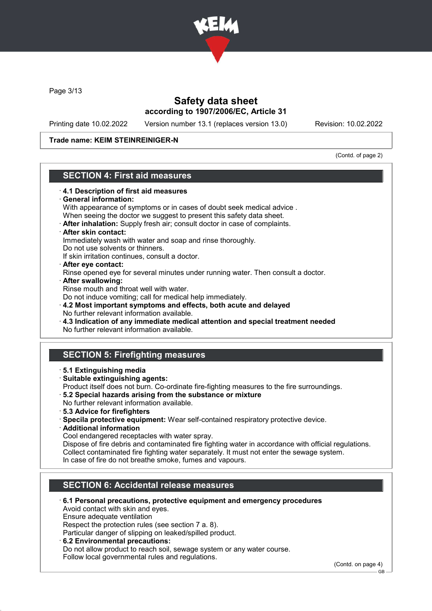

Page 3/13

## Safety data sheet according to 1907/2006/EC, Article 31

Printing date 10.02.2022 Version number 13.1 (replaces version 13.0) Revision: 10.02.2022

#### Trade name: KEIM STEINREINIGER-N

(Contd. of page 2)

# SECTION 4: First aid measures

## · 4.1 Description of first aid measures General information: With appearance of symptoms or in cases of doubt seek medical advice . When seeing the doctor we suggest to present this safety data sheet. · After inhalation: Supply fresh air; consult doctor in case of complaints. · After skin contact: Immediately wash with water and soap and rinse thoroughly. Do not use solvents or thinners. If skin irritation continues, consult a doctor. · After eye contact: Rinse opened eye for several minutes under running water. Then consult a doctor. · After swallowing: Rinse mouth and throat well with water. Do not induce vomiting; call for medical help immediately. · 4.2 Most important symptoms and effects, both acute and delayed No further relevant information available. · 4.3 Indication of any immediate medical attention and special treatment needed No further relevant information available. SECTION 5: Firefighting measures · 5.1 Extinguishing media · Suitable extinguishing agents: Product itself does not burn. Co-ordinate fire-fighting measures to the fire surroundings. · 5.2 Special hazards arising from the substance or mixture No further relevant information available. · 5.3 Advice for firefighters · Specila protective equipment: Wear self-contained respiratory protective device. · Additional information Cool endangered receptacles with water spray. Dispose of fire debris and contaminated fire fighting water in accordance with official regulations. Collect contaminated fire fighting water separately. It must not enter the sewage system. In case of fire do not breathe smoke, fumes and vapours. SECTION 6: Accidental release measures · 6.1 Personal precautions, protective equipment and emergency procedures Avoid contact with skin and eyes. Ensure adequate ventilation Respect the protection rules (see section 7 a. 8). Particular danger of slipping on leaked/spilled product. · 6.2 Environmental precautions: Do not allow product to reach soil, sewage system or any water course.

Follow local governmental rules and regulations.

(Contd. on page 4)

GB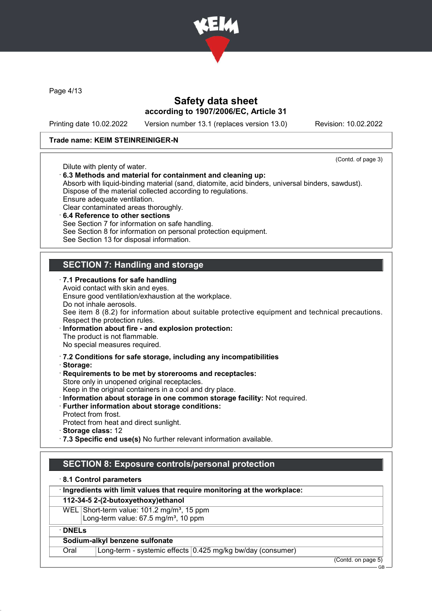

Page 4/13

## Safety data sheet according to 1907/2006/EC, Article 31

Printing date 10.02.2022 Version number 13.1 (replaces version 13.0) Revision: 10.02.2022

#### Trade name: KEIM STEINREINIGER-N

(Contd. of page 3) Dilute with plenty of water. · 6.3 Methods and material for containment and cleaning up: Absorb with liquid-binding material (sand, diatomite, acid binders, universal binders, sawdust). Dispose of the material collected according to regulations. Ensure adequate ventilation. Clear contaminated areas thoroughly. 6.4 Reference to other sections See Section 7 for information on safe handling. See Section 8 for information on personal protection equipment. See Section 13 for disposal information. SECTION 7: Handling and storage · 7.1 Precautions for safe handling Avoid contact with skin and eyes. Ensure good ventilation/exhaustion at the workplace. Do not inhale aerosols. See item 8 (8.2) for information about suitable protective equipment and technical precautions. Respect the protection rules. · Information about fire - and explosion protection: The product is not flammable. No special measures required. · 7.2 Conditions for safe storage, including any incompatibilities · Storage: · Requirements to be met by storerooms and receptacles: Store only in unopened original receptacles. Keep in the original containers in a cool and dry place. · Information about storage in one common storage facility: Not required. · Further information about storage conditions: Protect from frost. Protect from heat and direct sunlight. · Storage class: 12 · 7.3 Specific end use(s) No further relevant information available. SECTION 8: Exposure controls/personal protection

· 8.1 Control parameters

· Ingredients with limit values that require monitoring at the workplace:

#### 112-34-5 2-(2-butoxyethoxy)ethanol

WEL Short-term value: 101.2 mg/m<sup>3</sup>, 15 ppm Long-term value:  $67.5$  mg/m<sup>3</sup>, 10 ppm

· DNELs

#### Sodium-alkyl benzene sulfonate

Oral Long-term - systemic effects 0.425 mg/kg bw/day (consumer)

(Contd. on page 5)

GB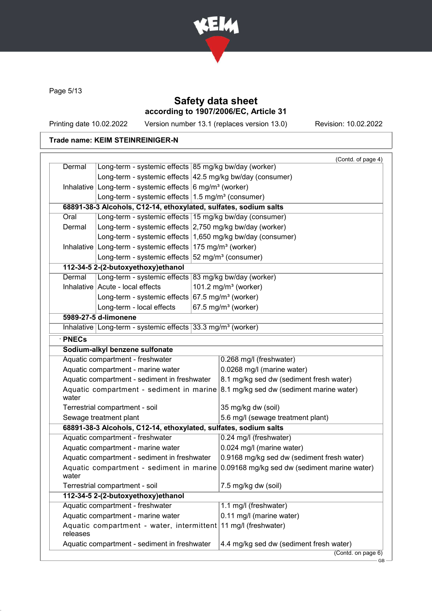

Page 5/13

## Safety data sheet according to 1907/2006/EC, Article 31

Printing date 10.02.2022 Version number 13.1 (replaces version 13.0) Revision: 10.02.2022

|                                              |                                                                          | (Contd. of page 4)                                                                       |
|----------------------------------------------|--------------------------------------------------------------------------|------------------------------------------------------------------------------------------|
| Dermal                                       | Long-term - systemic effects 85 mg/kg bw/day (worker)                    |                                                                                          |
|                                              | Long-term - systemic effects 42.5 mg/kg bw/day (consumer)                |                                                                                          |
|                                              | Inhalative Long-term - systemic effects $6 \text{ mg/m}^3$ (worker)      |                                                                                          |
|                                              | Long-term - systemic effects $1.5 \text{ mg/m}^3$ (consumer)             |                                                                                          |
|                                              | 68891-38-3 Alcohols, C12-14, ethoxylated, sulfates, sodium salts         |                                                                                          |
| Oral                                         | Long-term - systemic effects 15 mg/kg bw/day (consumer)                  |                                                                                          |
| Dermal                                       | Long-term - systemic effects 2,750 mg/kg bw/day (worker)                 |                                                                                          |
|                                              | Long-term - systemic effects 1,650 mg/kg bw/day (consumer)               |                                                                                          |
|                                              | Inhalative Long-term - systemic effects $175$ mg/m <sup>3</sup> (worker) |                                                                                          |
|                                              | Long-term - systemic effects $52 \text{ mg/m}^3$ (consumer)              |                                                                                          |
|                                              | 112-34-5 2-(2-butoxyethoxy)ethanol                                       |                                                                                          |
| Dermal                                       | Long-term - systemic effects 83 mg/kg bw/day (worker)                    |                                                                                          |
|                                              | Inhalative Acute - local effects                                         | 101.2 mg/m $3$ (worker)                                                                  |
|                                              | Long-term - systemic effects $67.5$ mg/m <sup>3</sup> (worker)           |                                                                                          |
|                                              | Long-term - local effects                                                | 67.5 mg/m <sup>3</sup> (worker)                                                          |
|                                              | 5989-27-5 d-limonene                                                     |                                                                                          |
|                                              | Inhalative Long-term - systemic effects 33.3 mg/m <sup>3</sup> (worker)  |                                                                                          |
| · PNECs                                      |                                                                          |                                                                                          |
|                                              | Sodium-alkyl benzene sulfonate                                           |                                                                                          |
|                                              | Aquatic compartment - freshwater                                         | 0.268 mg/l (freshwater)                                                                  |
| Aquatic compartment - marine water           |                                                                          | 0.0268 mg/l (marine water)                                                               |
|                                              | Aquatic compartment - sediment in freshwater                             | 8.1 mg/kg sed dw (sediment fresh water)                                                  |
| water                                        |                                                                          | Aquatic compartment - sediment in marine $\beta$ .1 mg/kg sed dw (sediment marine water) |
|                                              | Terrestrial compartment - soil                                           | 35 mg/kg dw (soil)                                                                       |
|                                              | Sewage treatment plant                                                   | 5.6 mg/l (sewage treatment plant)                                                        |
|                                              | 68891-38-3 Alcohols, C12-14, ethoxylated, sulfates, sodium salts         |                                                                                          |
|                                              | Aquatic compartment - freshwater                                         | 0.24 mg/l (freshwater)                                                                   |
|                                              | Aquatic compartment - marine water                                       | 0.024 mg/l (marine water)                                                                |
| Aquatic compartment - sediment in freshwater |                                                                          | 0.9168 mg/kg sed dw (sediment fresh water)                                               |
| water                                        |                                                                          | Aquatic compartment - sediment in marine $0.09168$ mg/kg sed dw (sediment marine water)  |
|                                              | Terrestrial compartment - soil                                           | 7.5 mg/kg dw (soil)                                                                      |
|                                              | 112-34-5 2-(2-butoxyethoxy)ethanol                                       |                                                                                          |
|                                              | Aquatic compartment - freshwater                                         | 1.1 mg/l (freshwater)                                                                    |
|                                              | Aquatic compartment - marine water                                       | 0.11 mg/l (marine water)                                                                 |
| releases                                     | Aquatic compartment - water, intermittent 11 mg/l (freshwater)           |                                                                                          |
|                                              | Aquatic compartment - sediment in freshwater                             | 4.4 mg/kg sed dw (sediment fresh water)                                                  |
|                                              |                                                                          |                                                                                          |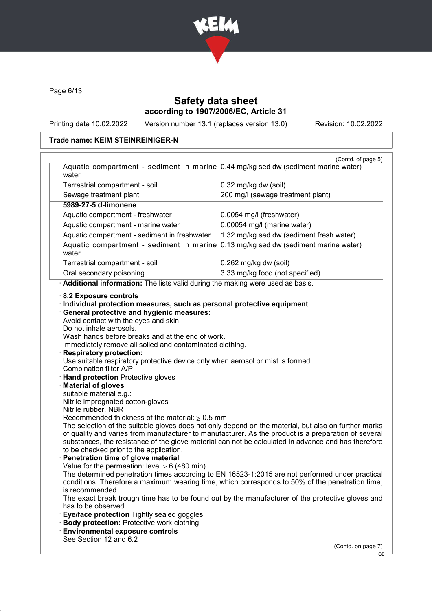

Page 6/13

## Safety data sheet according to 1907/2006/EC, Article 31

Printing date 10.02.2022 Version number 13.1 (replaces version 13.0) Revision: 10.02.2022

GB

|                                                                                                                                                                                                                  | (Contd. of page 5)                                                                                                                                                                                                                                                                                                                                                                                                                                                                                                       |
|------------------------------------------------------------------------------------------------------------------------------------------------------------------------------------------------------------------|--------------------------------------------------------------------------------------------------------------------------------------------------------------------------------------------------------------------------------------------------------------------------------------------------------------------------------------------------------------------------------------------------------------------------------------------------------------------------------------------------------------------------|
| Aquatic compartment - sediment in marine 0.44 mg/kg sed dw (sediment marine water)<br>water                                                                                                                      |                                                                                                                                                                                                                                                                                                                                                                                                                                                                                                                          |
| Terrestrial compartment - soil                                                                                                                                                                                   | 0.32 mg/kg dw (soil)                                                                                                                                                                                                                                                                                                                                                                                                                                                                                                     |
| Sewage treatment plant                                                                                                                                                                                           | 200 mg/l (sewage treatment plant)                                                                                                                                                                                                                                                                                                                                                                                                                                                                                        |
| 5989-27-5 d-limonene                                                                                                                                                                                             |                                                                                                                                                                                                                                                                                                                                                                                                                                                                                                                          |
| Aquatic compartment - freshwater                                                                                                                                                                                 | 0.0054 mg/l (freshwater)                                                                                                                                                                                                                                                                                                                                                                                                                                                                                                 |
| Aquatic compartment - marine water                                                                                                                                                                               | 0.00054 mg/l (marine water)                                                                                                                                                                                                                                                                                                                                                                                                                                                                                              |
| Aquatic compartment - sediment in freshwater                                                                                                                                                                     | 1.32 mg/kg sed dw (sediment fresh water)                                                                                                                                                                                                                                                                                                                                                                                                                                                                                 |
| Aquatic compartment - sediment in marine 0.13 mg/kg sed dw (sediment marine water)<br>water                                                                                                                      |                                                                                                                                                                                                                                                                                                                                                                                                                                                                                                                          |
| Terrestrial compartment - soil                                                                                                                                                                                   | 0.262 mg/kg dw (soil)                                                                                                                                                                                                                                                                                                                                                                                                                                                                                                    |
| Oral secondary poisoning                                                                                                                                                                                         | 3.33 mg/kg food (not specified)                                                                                                                                                                                                                                                                                                                                                                                                                                                                                          |
| Additional information: The lists valid during the making were used as basis.                                                                                                                                    |                                                                                                                                                                                                                                                                                                                                                                                                                                                                                                                          |
| <b>Respiratory protection:</b><br>Use suitable respiratory protective device only when aerosol or mist is formed.<br>Combination filter A/P<br><b>Hand protection Protective gloves</b><br>· Material of gloves  |                                                                                                                                                                                                                                                                                                                                                                                                                                                                                                                          |
| suitable material e.g.:<br>Nitrile impregnated cotton-gloves<br>Nitrile rubber, NBR                                                                                                                              |                                                                                                                                                                                                                                                                                                                                                                                                                                                                                                                          |
| Recommended thickness of the material: $\geq 0.5$ mm<br>to be checked prior to the application.<br>· Penetration time of glove material<br>Value for the permeation: level $\geq 6$ (480 min)<br>is recommended. | The selection of the suitable gloves does not only depend on the material, but also on further marks<br>of quality and varies from manufacturer to manufacturer. As the product is a preparation of several<br>substances, the resistance of the glove material can not be calculated in advance and has therefore<br>The determined penetration times according to EN 16523-1:2015 are not performed under practical<br>conditions. Therefore a maximum wearing time, which corresponds to 50% of the penetration time, |
| has to be observed.<br>Eye/face protection Tightly sealed goggles<br><b>Body protection: Protective work clothing</b><br><b>Environmental exposure controls</b>                                                  | The exact break trough time has to be found out by the manufacturer of the protective gloves and                                                                                                                                                                                                                                                                                                                                                                                                                         |
| See Section 12 and 6.2                                                                                                                                                                                           |                                                                                                                                                                                                                                                                                                                                                                                                                                                                                                                          |
|                                                                                                                                                                                                                  | (Contd. on page 7)                                                                                                                                                                                                                                                                                                                                                                                                                                                                                                       |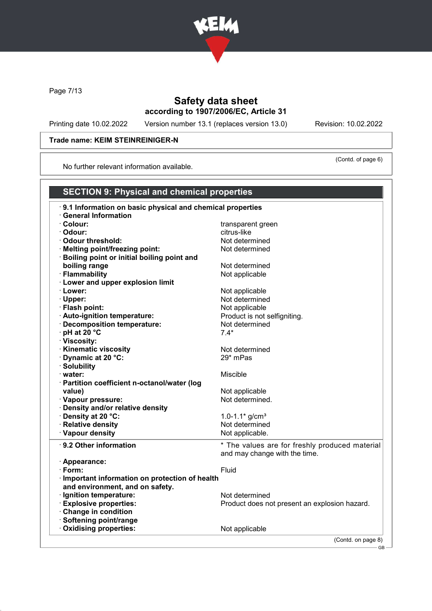

Page 7/13

## Safety data sheet according to 1907/2006/EC, Article 31

Printing date 10.02.2022 Version number 13.1 (replaces version 13.0) Revision: 10.02.2022

(Contd. of page 6)

## Trade name: KEIM STEINREINIGER-N

No further relevant information available.

| <b>SECTION 9: Physical and chemical properties</b>        |                                                |
|-----------------------------------------------------------|------------------------------------------------|
| 9.1 Information on basic physical and chemical properties |                                                |
| <b>General Information</b>                                |                                                |
| · Colour:                                                 | transparent green                              |
| · Odour:                                                  | citrus-like                                    |
| Odour threshold:                                          | Not determined                                 |
| · Melting point/freezing point:                           | Not determined                                 |
| <b>Boiling point or initial boiling point and</b>         |                                                |
| boiling range                                             | Not determined                                 |
| · Flammability                                            | Not applicable                                 |
| · Lower and upper explosion limit                         |                                                |
| · Lower:                                                  | Not applicable                                 |
| · Upper:                                                  | Not determined                                 |
| · Flash point:                                            | Not applicable                                 |
| · Auto-ignition temperature:                              | Product is not selfigniting.                   |
| · Decomposition temperature:                              | Not determined                                 |
| $\cdot$ pH at 20 $\degree$ C                              | $7.4*$                                         |
| · Viscosity:                                              |                                                |
| · Kinematic viscosity                                     | Not determined                                 |
| Dynamic at 20 °C:                                         | 29* mPas                                       |
| · Solubility                                              |                                                |
| · water:                                                  | <b>Miscible</b>                                |
| · Partition coefficient n-octanol/water (log              |                                                |
| value)                                                    | Not applicable                                 |
| · Vapour pressure:                                        | Not determined.                                |
| · Density and/or relative density                         |                                                |
| · Density at 20 °C:<br>· Relative density                 | 1.0-1.1 $*$ g/cm <sup>3</sup>                  |
| · Vapour density                                          | Not determined                                 |
|                                                           | Not applicable.                                |
| · 9.2 Other information                                   | * The values are for freshly produced material |
|                                                           | and may change with the time.                  |
| · Appearance:                                             |                                                |
| $\cdot$ Form:                                             | Fluid                                          |
| · Important information on protection of health           |                                                |
| and environment, and on safety.                           |                                                |
| · Ignition temperature:                                   | Not determined                                 |
| <b>Explosive properties:</b>                              | Product does not present an explosion hazard.  |
| Change in condition                                       |                                                |
| · Softening point/range                                   |                                                |
| Oxidising properties:                                     | Not applicable                                 |
|                                                           | (Contd. on page 8)                             |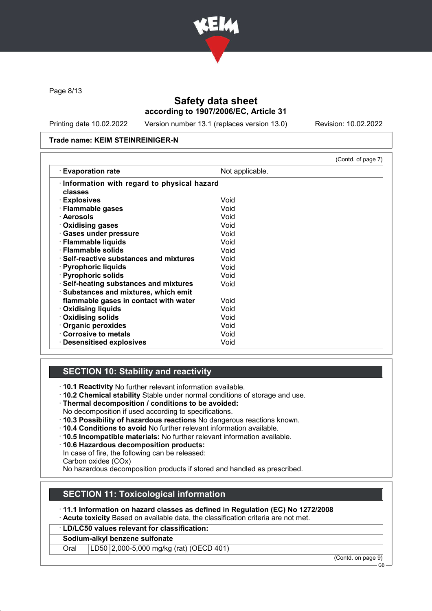

Page 8/13

## Safety data sheet according to 1907/2006/EC, Article 31

Printing date 10.02.2022 Version number 13.1 (replaces version 13.0) Revision: 10.02.2022

#### Trade name: KEIM STEINREINIGER-N

|                                                                                 |                 | (Contd. of page 7) |
|---------------------------------------------------------------------------------|-----------------|--------------------|
| <b>Evaporation rate</b>                                                         | Not applicable. |                    |
| Information with regard to physical hazard<br>classes                           |                 |                    |
| · Explosives                                                                    | Void            |                    |
| · Flammable gases                                                               | Void            |                    |
| · Aerosols                                                                      | Void            |                    |
| Oxidising gases                                                                 | Void            |                    |
| · Gases under pressure                                                          | Void            |                    |
| · Flammable liquids                                                             | Void            |                    |
| · Flammable solids                                                              | Void            |                    |
| $\cdot$ Self-reactive substances and mixtures                                   | Void            |                    |
| · Pyrophoric liquids                                                            | Void            |                    |
| · Pyrophoric solids                                                             | Void            |                    |
| · Self-heating substances and mixtures<br>· Substances and mixtures, which emit | Void            |                    |
| flammable gases in contact with water                                           | Void            |                    |
| <b>⋅ Oxidising liquids</b>                                                      | Void            |                    |
| Oxidising solids                                                                | Void            |                    |
| Organic peroxides                                                               | Void            |                    |
| Corrosive to metals                                                             | Void            |                    |
| <b>Desensitised explosives</b>                                                  | Void            |                    |

## SECTION 10: Stability and reactivity

· 10.1 Reactivity No further relevant information available.

- · 10.2 Chemical stability Stable under normal conditions of storage and use.
- · Thermal decomposition / conditions to be avoided:
- No decomposition if used according to specifications.
- · 10.3 Possibility of hazardous reactions No dangerous reactions known.
- · 10.4 Conditions to avoid No further relevant information available.
- · 10.5 Incompatible materials: No further relevant information available.
- · 10.6 Hazardous decomposition products:
- In case of fire, the following can be released:
- Carbon oxides (COx)

No hazardous decomposition products if stored and handled as prescribed.

## SECTION 11: Toxicological information

#### · 11.1 Information on hazard classes as defined in Regulation (EC) No 1272/2008

· Acute toxicity Based on available data, the classification criteria are not met.

· LD/LC50 values relevant for classification:

#### Sodium-alkyl benzene sulfonate

Oral LD50 2,000-5,000 mg/kg (rat) (OECD 401)

(Contd. on page 9)

GB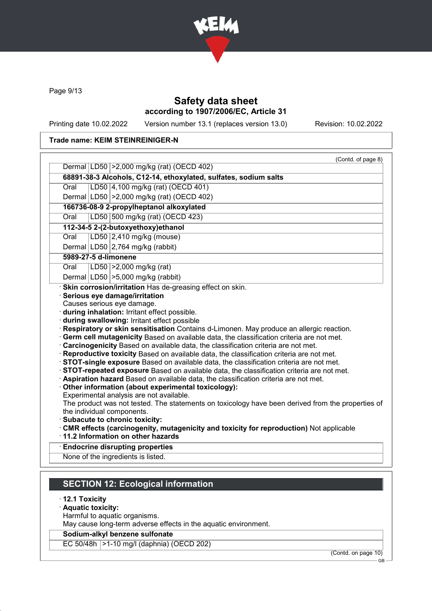

Page 9/13

# Safety data sheet according to 1907/2006/EC, Article 31

Printing date 10.02.2022 Version number 13.1 (replaces version 13.0) Revision: 10.02.2022

#### Trade name: KEIM STEINREINIGER-N

|      | (Contd. of page 8)<br>Dermal LD50 > 2,000 mg/kg (rat) (OECD 402)                                                                                                                                                                                                                                                                                                                                                                                                                                                                                                                                                                                                                                                                                                                                                                                                                                                                                                                                                                      |
|------|---------------------------------------------------------------------------------------------------------------------------------------------------------------------------------------------------------------------------------------------------------------------------------------------------------------------------------------------------------------------------------------------------------------------------------------------------------------------------------------------------------------------------------------------------------------------------------------------------------------------------------------------------------------------------------------------------------------------------------------------------------------------------------------------------------------------------------------------------------------------------------------------------------------------------------------------------------------------------------------------------------------------------------------|
|      | 68891-38-3 Alcohols, C12-14, ethoxylated, sulfates, sodium salts                                                                                                                                                                                                                                                                                                                                                                                                                                                                                                                                                                                                                                                                                                                                                                                                                                                                                                                                                                      |
| Oral | LD50 4,100 mg/kg (rat) (OECD 401)                                                                                                                                                                                                                                                                                                                                                                                                                                                                                                                                                                                                                                                                                                                                                                                                                                                                                                                                                                                                     |
|      |                                                                                                                                                                                                                                                                                                                                                                                                                                                                                                                                                                                                                                                                                                                                                                                                                                                                                                                                                                                                                                       |
|      | Dermal LD50 > 2,000 mg/kg (rat) (OECD 402)                                                                                                                                                                                                                                                                                                                                                                                                                                                                                                                                                                                                                                                                                                                                                                                                                                                                                                                                                                                            |
|      | 166736-08-9 2-propylheptanol alkoxylated                                                                                                                                                                                                                                                                                                                                                                                                                                                                                                                                                                                                                                                                                                                                                                                                                                                                                                                                                                                              |
| Oral | LD50 500 mg/kg (rat) (OECD 423)                                                                                                                                                                                                                                                                                                                                                                                                                                                                                                                                                                                                                                                                                                                                                                                                                                                                                                                                                                                                       |
|      | 112-34-5 2-(2-butoxyethoxy)ethanol                                                                                                                                                                                                                                                                                                                                                                                                                                                                                                                                                                                                                                                                                                                                                                                                                                                                                                                                                                                                    |
| Oral | LD50 2,410 mg/kg (mouse)                                                                                                                                                                                                                                                                                                                                                                                                                                                                                                                                                                                                                                                                                                                                                                                                                                                                                                                                                                                                              |
|      | Dermal LD50 2,764 mg/kg (rabbit)                                                                                                                                                                                                                                                                                                                                                                                                                                                                                                                                                                                                                                                                                                                                                                                                                                                                                                                                                                                                      |
|      | 5989-27-5 d-limonene                                                                                                                                                                                                                                                                                                                                                                                                                                                                                                                                                                                                                                                                                                                                                                                                                                                                                                                                                                                                                  |
| Oral | $ LD50  > 2,000$ mg/kg (rat)                                                                                                                                                                                                                                                                                                                                                                                                                                                                                                                                                                                                                                                                                                                                                                                                                                                                                                                                                                                                          |
|      | Dermal $ LD50  > 5,000$ mg/kg (rabbit)<br>· Skin corrosion/irritation Has de-greasing effect on skin.                                                                                                                                                                                                                                                                                                                                                                                                                                                                                                                                                                                                                                                                                                                                                                                                                                                                                                                                 |
|      | · during inhalation: Irritant effect possible.<br>· during swallowing: Irritant effect possible<br>· Respiratory or skin sensitisation Contains d-Limonen. May produce an allergic reaction.<br>Germ cell mutagenicity Based on available data, the classification criteria are not met.<br>Carcinogenicity Based on available data, the classification criteria are not met.<br>· Reproductive toxicity Based on available data, the classification criteria are not met.<br>· STOT-single exposure Based on available data, the classification criteria are not met.<br>· STOT-repeated exposure Based on available data, the classification criteria are not met.<br>· Aspiration hazard Based on available data, the classification criteria are not met.<br>Other information (about experimental toxicology):<br>Experimental analysis are not available.<br>The product was not tested. The statements on toxicology have been derived from the properties of<br>the individual components.<br>· Subacute to chronic toxicity: |
|      |                                                                                                                                                                                                                                                                                                                                                                                                                                                                                                                                                                                                                                                                                                                                                                                                                                                                                                                                                                                                                                       |
|      | · CMR effects (carcinogenity, mutagenicity and toxicity for reproduction) Not applicable<br>11.2 Information on other hazards                                                                                                                                                                                                                                                                                                                                                                                                                                                                                                                                                                                                                                                                                                                                                                                                                                                                                                         |
|      | <b>Endocrine disrupting properties</b>                                                                                                                                                                                                                                                                                                                                                                                                                                                                                                                                                                                                                                                                                                                                                                                                                                                                                                                                                                                                |

# · 12.1 Toxicity

- · Aquatic toxicity:
- Harmful to aquatic organisms.

May cause long-term adverse effects in the aquatic environment.

## Sodium-alkyl benzene sulfonate

EC 50/48h >1-10 mg/l (daphnia) (OECD 202)

(Contd. on page 10)

GB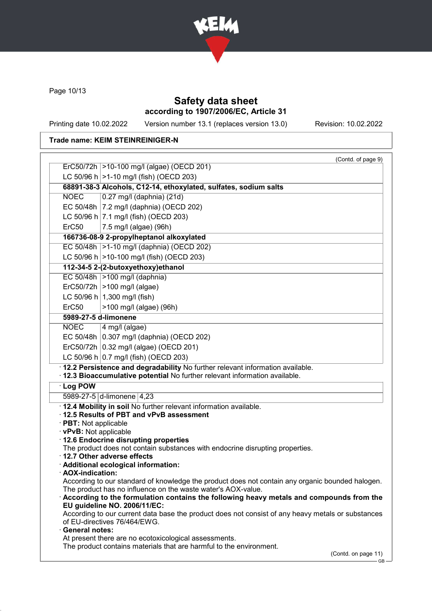

Page 10/13

## Safety data sheet according to 1907/2006/EC, Article 31

Printing date 10.02.2022 Version number 13.1 (replaces version 13.0) Revision: 10.02.2022

GB

|                        | (Contd. of page 9)                                                                                                                                      |
|------------------------|---------------------------------------------------------------------------------------------------------------------------------------------------------|
|                        | ErC50/72h  >10-100 mg/l (algae) (OECD 201)                                                                                                              |
|                        | LC 50/96 h $ >1$ -10 mg/l (fish) (OECD 203)                                                                                                             |
|                        | 68891-38-3 Alcohols, C12-14, ethoxylated, sulfates, sodium salts                                                                                        |
| <b>NOEC</b>            | $0.27$ mg/l (daphnia) (21d)                                                                                                                             |
|                        | EC 50/48h   7.2 mg/l (daphnia) (OECD 202)                                                                                                               |
|                        | LC 50/96 h $ 7.1$ mg/l (fish) (OECD 203)                                                                                                                |
| ErC <sub>50</sub>      | 7.5 mg/l (algae) (96h)                                                                                                                                  |
|                        | 166736-08-9 2-propylheptanol alkoxylated                                                                                                                |
|                        | EC 50/48h  >1-10 mg/l (daphnia) (OECD 202)                                                                                                              |
|                        | LC 50/96 h $ >$ 10-100 mg/l (fish) (OECD 203)                                                                                                           |
|                        | 112-34-5 2-(2-butoxyethoxy)ethanol                                                                                                                      |
|                        | EC 50/48h $ >100$ mg/l (daphnia)                                                                                                                        |
|                        | $Erc50/72h$ >100 mg/l (algae)                                                                                                                           |
|                        | LC 50/96 h $ 1,300 \text{ mg/l}$ (fish)                                                                                                                 |
| ErC50                  | >100 mg/l (algae) (96h)                                                                                                                                 |
|                        | 5989-27-5 d-limonene                                                                                                                                    |
| <b>NOEC</b>            | $4$ mg/l (algae)                                                                                                                                        |
|                        | EC 50/48h   0.307 mg/l (daphnia) (OECD 202)                                                                                                             |
|                        | ErC50/72h $ 0.32 \text{ mg/l}$ (algae) (OECD 201)                                                                                                       |
|                        | LC 50/96 h 0.7 mg/l (fish) (OECD 203)                                                                                                                   |
|                        | · 12.2 Persistence and degradability No further relevant information available.                                                                         |
|                        | · 12.3 Bioaccumulative potential No further relevant information available.                                                                             |
| · Log POW              |                                                                                                                                                         |
|                        | 5989-27-5 d-limonene 4,23                                                                                                                               |
|                        | . 12.4 Mobility in soil No further relevant information available.                                                                                      |
|                        | 12.5 Results of PBT and vPvB assessment                                                                                                                 |
| · PBT: Not applicable  |                                                                                                                                                         |
| · vPvB: Not applicable | · 12.6 Endocrine disrupting properties                                                                                                                  |
|                        | The product does not contain substances with endocrine disrupting properties.                                                                           |
|                        | $\cdot$ 12.7 Other adverse effects                                                                                                                      |
|                        | Additional ecological information:                                                                                                                      |
| · AOX-indication:      |                                                                                                                                                         |
|                        | According to our standard of knowledge the product does not contain any organic bounded halogen.                                                        |
|                        | The product has no influence on the waste water's AOX-value.<br>According to the formulation contains the following heavy metals and compounds from the |
|                        | EU guideline NO. 2006/11/EC:                                                                                                                            |
|                        | According to our current data base the product does not consist of any heavy metals or substances                                                       |
|                        | of EU-directives 76/464/EWG.                                                                                                                            |
| <b>General notes:</b>  |                                                                                                                                                         |
|                        | At present there are no ecotoxicological assessments.<br>The product contains materials that are harmful to the environment.                            |
|                        | (Contd. on page 11)                                                                                                                                     |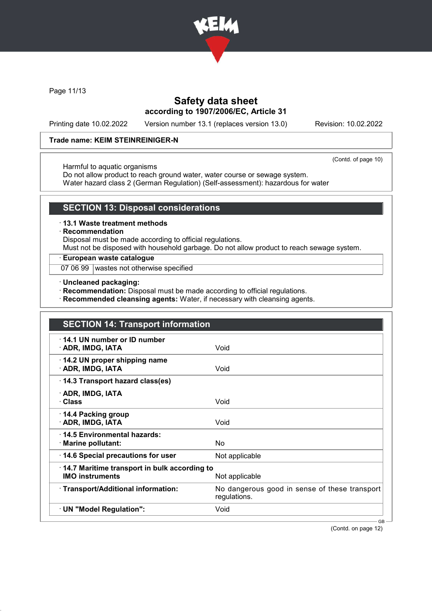

Page 11/13

## Safety data sheet according to 1907/2006/EC, Article 31

Printing date 10.02.2022 Version number 13.1 (replaces version 13.0) Revision: 10.02.2022

#### Trade name: KEIM STEINREINIGER-N

(Contd. of page 10)

#### Harmful to aquatic organisms

Do not allow product to reach ground water, water course or sewage system.

Water hazard class 2 (German Regulation) (Self-assessment): hazardous for water

## SECTION 13: Disposal considerations

#### · 13.1 Waste treatment methods

#### · Recommendation

Disposal must be made according to official regulations.

Must not be disposed with household garbage. Do not allow product to reach sewage system.

## · European waste catalogue

07 06 99 wastes not otherwise specified

· Uncleaned packaging:

· Recommendation: Disposal must be made according to official regulations.

· Recommended cleansing agents: Water, if necessary with cleansing agents.

| <b>SECTION 14: Transport information</b>                               |                                                               |
|------------------------------------------------------------------------|---------------------------------------------------------------|
| $\cdot$ 14.1 UN number or ID number<br>· ADR, IMDG, IATA               | Void                                                          |
| 14.2 UN proper shipping name<br>· ADR, IMDG, IATA                      | Void                                                          |
| 14.3 Transport hazard class(es)                                        |                                                               |
| · ADR, IMDG, IATA<br>· Class                                           | Void                                                          |
| 14.4 Packing group<br>· ADR, IMDG, IATA                                | Void                                                          |
| 14.5 Environmental hazards:<br>· Marine pollutant:                     | <b>No</b>                                                     |
| 14.6 Special precautions for user                                      | Not applicable                                                |
| 14.7 Maritime transport in bulk according to<br><b>IMO instruments</b> | Not applicable                                                |
| · Transport/Additional information:                                    | No dangerous good in sense of these transport<br>regulations. |
| · UN "Model Regulation":                                               | Void                                                          |

(Contd. on page 12)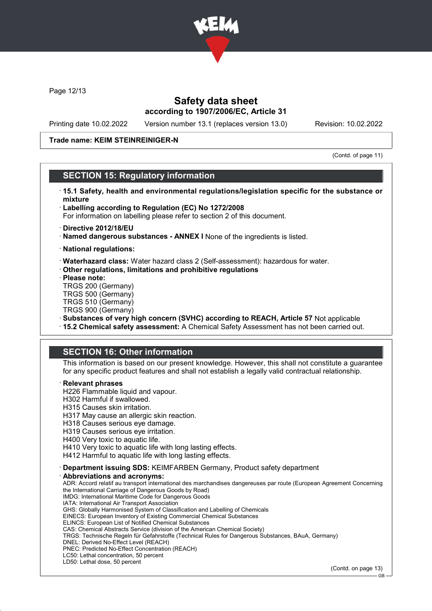

Page 12/13

## Safety data sheet according to 1907/2006/EC, Article 31

Printing date 10.02.2022 Version number 13.1 (replaces version 13.0) Revision: 10.02.2022

#### Trade name: KEIM STEINREINIGER-N

(Contd. of page 11)

## SECTION 15: Regulatory information

- · 15.1 Safety, health and environmental regulations/legislation specific for the substance or mixture
- · Labelling according to Regulation (EC) No 1272/2008

For information on labelling please refer to section 2 of this document.

- · Directive 2012/18/EU
- · Named dangerous substances ANNEX I None of the ingredients is listed.
- · National regulations:
- · Waterhazard class: Water hazard class 2 (Self-assessment): hazardous for water.
- · Other regulations, limitations and prohibitive regulations
- · Please note:
- TRGS 200 (Germany) TRGS 500 (Germany) TRGS 510 (Germany) TRGS 900 (Germany)
- · Substances of very high concern (SVHC) according to REACH, Article 57 Not applicable
- · 15.2 Chemical safety assessment: A Chemical Safety Assessment has not been carried out.

## SECTION 16: Other information

This information is based on our present knowledge. However, this shall not constitute a guarantee for any specific product features and shall not establish a legally valid contractual relationship.

#### **Relevant phrases**

- H226 Flammable liquid and vapour.
- H302 Harmful if swallowed.
- H315 Causes skin irritation.
- H317 May cause an allergic skin reaction.
- H318 Causes serious eye damage.
- H319 Causes serious eye irritation.
- H400 Very toxic to aquatic life.
- H410 Very toxic to aquatic life with long lasting effects.
- H412 Harmful to aquatic life with long lasting effects.
- · Department issuing SDS: KEIMFARBEN Germany, Product safety department

Abbreviations and acronyms:

ADR: Accord relatif au transport international des marchandises dangereuses par route (European Agreement Concerning the International Carriage of Dangerous Goods by Road) IMDG: International Maritime Code for Dangerous Goods IATA: International Air Transport Association GHS: Globally Harmonised System of Classification and Labelling of Chemicals EINECS: European Inventory of Existing Commercial Chemical Substances ELINCS: European List of Notified Chemical Substances CAS: Chemical Abstracts Service (division of the American Chemical Society) TRGS: Technische Regeln für Gefahrstoffe (Technical Rules for Dangerous Substances, BAuA, Germany) DNEL: Derived No-Effect Level (REACH) PNEC: Predicted No-Effect Concentration (REACH) LC50: Lethal concentration, 50 percent LD50: Lethal dose, 50 percent

(Contd. on page 13)